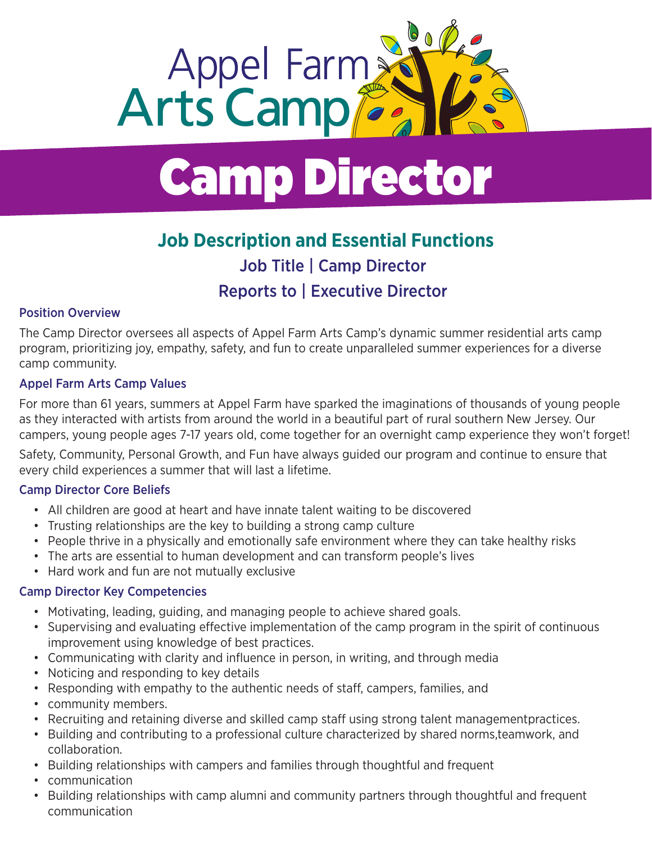

# **Job Description and Essential Functions** Job Title | Camp Director

### Reports to | Executive Director

#### Position Overview

The Camp Director oversees all aspects of Appel Farm Arts Camp's dynamic summer residential arts camp program, prioritizing joy, empathy, safety, and fun to create unparalleled summer experiences for a diverse camp community.

#### Appel Farm Arts Camp Values

For more than 61 years, summers at Appel Farm have sparked the imaginations of thousands of young people as they interacted with artists from around the world in a beautiful part of rural southern New Jersey. Our campers, young people ages 7-17 years old, come together for an overnight camp experience they won't forget!

Safety, Community, Personal Growth, and Fun have always guided our program and continue to ensure that every child experiences a summer that will last a lifetime.

#### Camp Director Core Beliefs

- All children are good at heart and have innate talent waiting to be discovered
- Trusting relationships are the key to building a strong camp culture
- People thrive in a physically and emotionally safe environment where they can take healthy risks
- The arts are essential to human development and can transform people's lives
- Hard work and fun are not mutually exclusive

#### Camp Director Key Competencies

- Motivating, leading, guiding, and managing people to achieve shared goals.
- Supervising and evaluating effective implementation of the camp program in the spirit of continuous improvement using knowledge of best practices.
- Communicating with clarity and influence in person, in writing, and through media
- Noticing and responding to key details
- Responding with empathy to the authentic needs of staff, campers, families, and
- community members.
- Recruiting and retaining diverse and skilled camp staff using strong talent managementpractices.
- Building and contributing to a professional culture characterized by shared norms,teamwork, and collaboration.
- Building relationships with campers and families through thoughtful and frequent
- communication
- Building relationships with camp alumni and community partners through thoughtful and frequent communication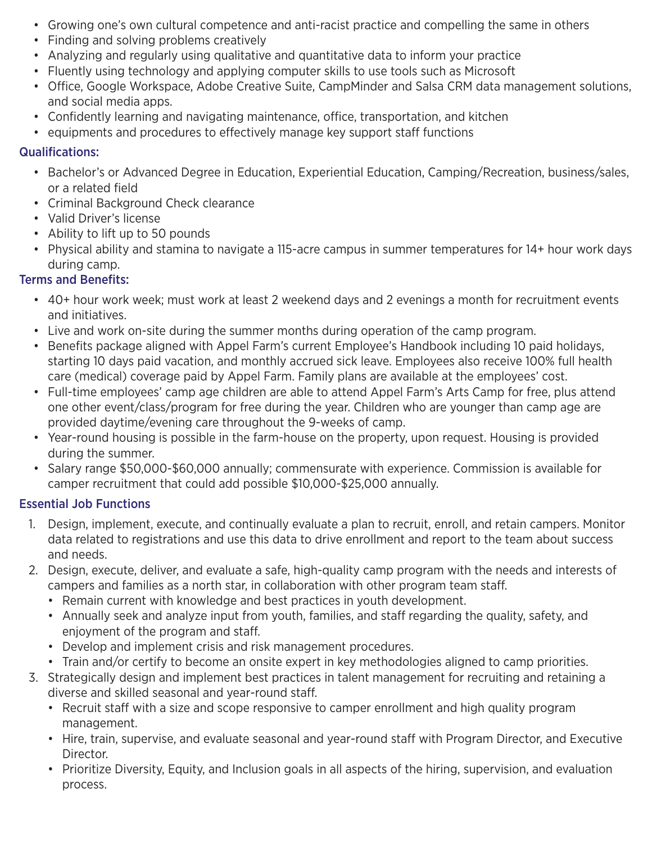- Growing one's own cultural competence and anti-racist practice and compelling the same in others
- Finding and solving problems creatively
- Analyzing and regularly using qualitative and quantitative data to inform your practice
- Fluently using technology and applying computer skills to use tools such as Microsoft
- Office, Google Workspace, Adobe Creative Suite, CampMinder and Salsa CRM data management solutions, and social media apps.
- Confidently learning and navigating maintenance, office, transportation, and kitchen
- equipments and procedures to effectively manage key support staff functions

#### Qualifications:

- Bachelor's or Advanced Degree in Education, Experiential Education, Camping/Recreation, business/sales, or a related field
- Criminal Background Check clearance
- Valid Driver's license
- Ability to lift up to 50 pounds
- Physical ability and stamina to navigate a 115-acre campus in summer temperatures for 14+ hour work days during camp.

#### Terms and Benefits:

- 40+ hour work week; must work at least 2 weekend days and 2 evenings a month for recruitment events and initiatives.
- Live and work on-site during the summer months during operation of the camp program.
- Benefits package aligned with Appel Farm's current Employee's Handbook including 10 paid holidays, starting 10 days paid vacation, and monthly accrued sick leave. Employees also receive 100% full health care (medical) coverage paid by Appel Farm. Family plans are available at the employees' cost.
- Full-time employees' camp age children are able to attend Appel Farm's Arts Camp for free, plus attend one other event/class/program for free during the year. Children who are younger than camp age are provided daytime/evening care throughout the 9-weeks of camp.
- Year-round housing is possible in the farm-house on the property, upon request. Housing is provided during the summer.
- Salary range \$50,000-\$60,000 annually; commensurate with experience. Commission is available for camper recruitment that could add possible \$10,000-\$25,000 annually.

#### Essential Job Functions

- 1. Design, implement, execute, and continually evaluate a plan to recruit, enroll, and retain campers. Monitor data related to registrations and use this data to drive enrollment and report to the team about success and needs.
- 2. Design, execute, deliver, and evaluate a safe, high-quality camp program with the needs and interests of campers and families as a north star, in collaboration with other program team staff.
	- Remain current with knowledge and best practices in youth development.
	- Annually seek and analyze input from youth, families, and staff regarding the quality, safety, and enjoyment of the program and staff.
	- Develop and implement crisis and risk management procedures.
	- Train and/or certify to become an onsite expert in key methodologies aligned to camp priorities.
- 3. Strategically design and implement best practices in talent management for recruiting and retaining a diverse and skilled seasonal and year-round staff.
	- Recruit staff with a size and scope responsive to camper enrollment and high quality program management.
	- Hire, train, supervise, and evaluate seasonal and year-round staff with Program Director, and Executive Director.
	- Prioritize Diversity, Equity, and Inclusion goals in all aspects of the hiring, supervision, and evaluation process.